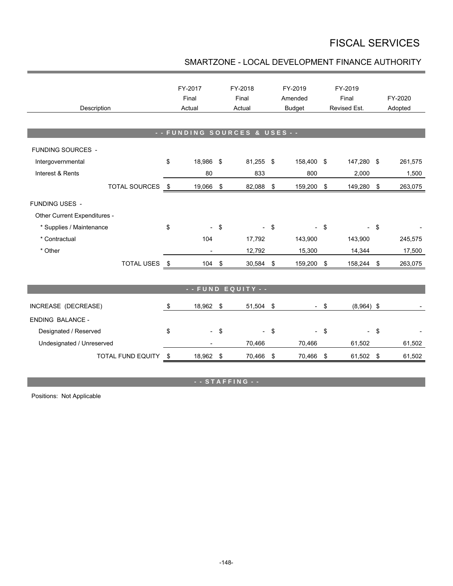## FISCAL SERVICES

## SMARTZONE - LOCAL DEVELOPMENT FINANCE AUTHORITY

| Description                  |      | FY-2017<br>Final<br>Actual |                | FY-2018<br>Final<br>Actual |            | FY-2019<br>Amended<br><b>Budget</b> |            | FY-2019<br>Final<br>Revised Est. |                   | FY-2020<br>Adopted |  |  |
|------------------------------|------|----------------------------|----------------|----------------------------|------------|-------------------------------------|------------|----------------------------------|-------------------|--------------------|--|--|
|                              |      |                            |                |                            |            |                                     |            |                                  |                   |                    |  |  |
| -- FUNDING SOURCES & USES -- |      |                            |                |                            |            |                                     |            |                                  |                   |                    |  |  |
| FUNDING SOURCES -            |      |                            |                |                            |            |                                     |            |                                  |                   |                    |  |  |
| Intergovernmental            | \$   | 18,986 \$                  |                | 81,255 \$                  |            | 158,400 \$                          |            | 147,280 \$                       |                   | 261,575            |  |  |
| Interest & Rents             |      | 80                         |                | 833                        |            | 800                                 |            | 2,000                            |                   | 1,500              |  |  |
| TOTAL SOURCES \$             |      | 19,066                     | \$             | 82,088                     | \$         | 159,200                             | \$         | 149,280                          | \$                | 263,075            |  |  |
| FUNDING USES -               |      |                            |                |                            |            |                                     |            |                                  |                   |                    |  |  |
| Other Current Expenditures - |      |                            |                |                            |            |                                     |            |                                  |                   |                    |  |  |
| * Supplies / Maintenance     | \$   |                            | \$             |                            | $-$ \$     |                                     | -\$        |                                  | \$                |                    |  |  |
| * Contractual                |      | 104                        |                | 17,792                     |            | 143,900                             |            | 143,900                          |                   | 245,575            |  |  |
| * Other                      |      |                            |                | 12,792                     |            | 15,300                              |            | 14,344                           |                   | 17,500             |  |  |
| <b>TOTAL USES</b>            | - \$ | 104                        | \$             | 30,584                     | \$         | 159,200                             | \$         | 158,244 \$                       |                   | 263,075            |  |  |
|                              |      |                            |                |                            |            |                                     |            |                                  |                   |                    |  |  |
| - - FUND EQUITY - -          |      |                            |                |                            |            |                                     |            |                                  |                   |                    |  |  |
| INCREASE (DECREASE)          | \$   | 18,962 \$                  |                | 51,504 \$                  |            |                                     | - \$       | $(8,964)$ \$                     |                   |                    |  |  |
| <b>ENDING BALANCE -</b>      |      |                            |                |                            |            |                                     |            |                                  |                   |                    |  |  |
| Designated / Reserved        | \$   | $\overline{\phantom{a}}$   | $\mathfrak{s}$ | $\overline{\phantom{0}}$   | $\sqrt{3}$ | $\overline{\phantom{0}}$            | $\sqrt{3}$ |                                  | $\boldsymbol{\$}$ |                    |  |  |
| Undesignated / Unreserved    |      |                            |                | 70,466                     |            | 70,466                              |            | 61,502                           |                   | 61,502             |  |  |
| TOTAL FUND EQUITY            | \$   | 18,962 \$                  |                | 70,466 \$                  |            | 70,466                              | \$         | 61,502 \$                        |                   | 61,502             |  |  |

**- - S T A F F I N G - -**

Positions: Not Applicable